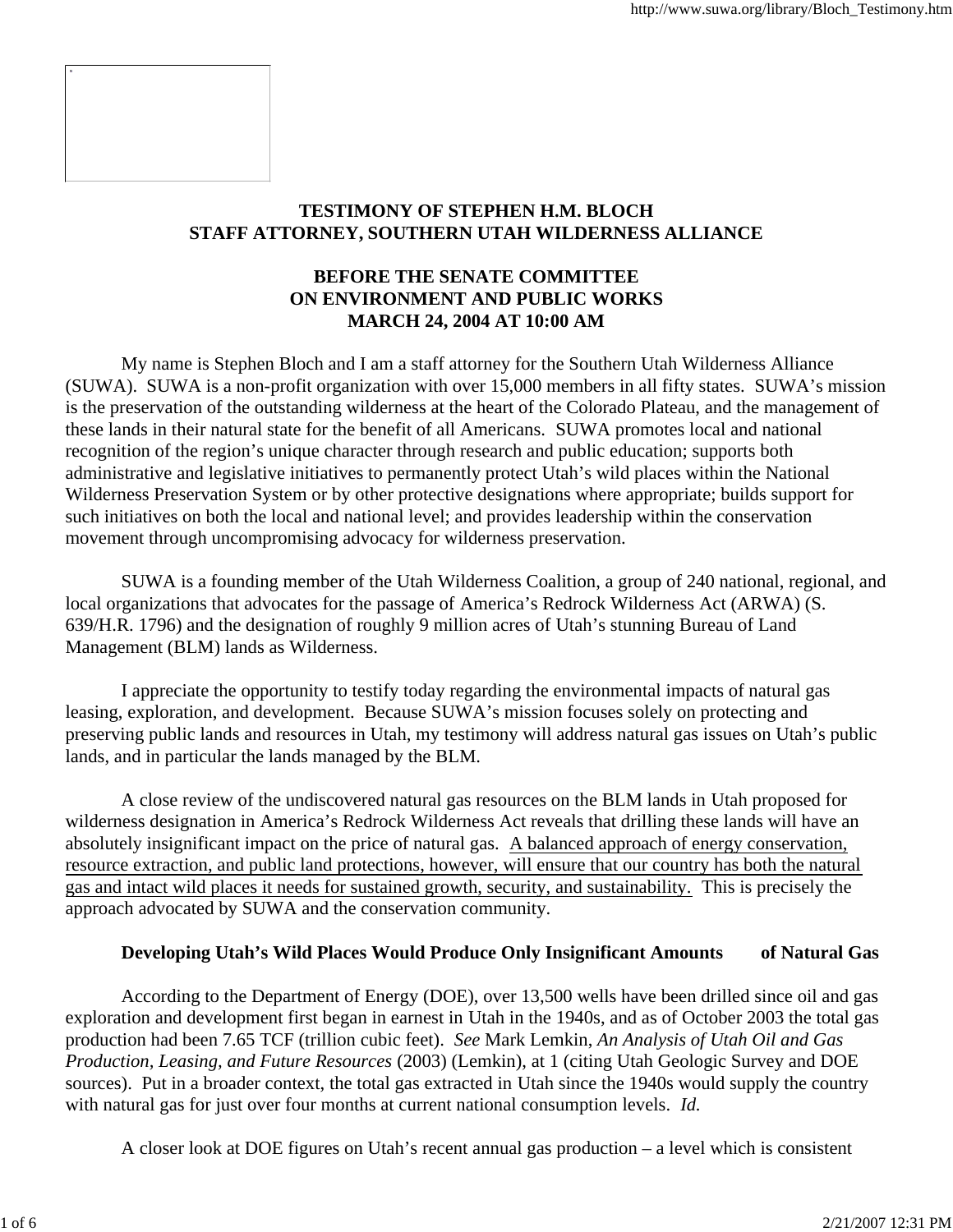

# **TESTIMONY OF STEPHEN H.M. BLOCH STAFF ATTORNEY, SOUTHERN UTAH WILDERNESS ALLIANCE**

## **BEFORE THE SENATE COMMITTEE ON ENVIRONMENT AND PUBLIC WORKS MARCH 24, 2004 AT 10:00 AM**

 My name is Stephen Bloch and I am a staff attorney for the Southern Utah Wilderness Alliance (SUWA). SUWA is a non-profit organization with over 15,000 members in all fifty states. SUWA's mission is the preservation of the outstanding wilderness at the heart of the Colorado Plateau, and the management of these lands in their natural state for the benefit of all Americans. SUWA promotes local and national recognition of the region's unique character through research and public education; supports both administrative and legislative initiatives to permanently protect Utah's wild places within the National Wilderness Preservation System or by other protective designations where appropriate; builds support for such initiatives on both the local and national level; and provides leadership within the conservation movement through uncompromising advocacy for wilderness preservation.

 SUWA is a founding member of the Utah Wilderness Coalition, a group of 240 national, regional, and local organizations that advocates for the passage of America's Redrock Wilderness Act (ARWA) (S. 639/H.R. 1796) and the designation of roughly 9 million acres of Utah's stunning Bureau of Land Management (BLM) lands as Wilderness.

 I appreciate the opportunity to testify today regarding the environmental impacts of natural gas leasing, exploration, and development. Because SUWA's mission focuses solely on protecting and preserving public lands and resources in Utah, my testimony will address natural gas issues on Utah's public lands, and in particular the lands managed by the BLM.

 A close review of the undiscovered natural gas resources on the BLM lands in Utah proposed for wilderness designation in America's Redrock Wilderness Act reveals that drilling these lands will have an absolutely insignificant impact on the price of natural gas. A balanced approach of energy conservation, resource extraction, and public land protections, however, will ensure that our country has both the natural gas and intact wild places it needs for sustained growth, security, and sustainability. This is precisely the approach advocated by SUWA and the conservation community.

# **Developing Utah's Wild Places Would Produce Only Insignificant Amounts of Natural Gas**

 According to the Department of Energy (DOE), over 13,500 wells have been drilled since oil and gas exploration and development first began in earnest in Utah in the 1940s, and as of October 2003 the total gas production had been 7.65 TCF (trillion cubic feet). *See* Mark Lemkin, *An Analysis of Utah Oil and Gas Production, Leasing, and Future Resources* (2003) (Lemkin), at 1 (citing Utah Geologic Survey and DOE sources). Put in a broader context, the total gas extracted in Utah since the 1940s would supply the country with natural gas for just over four months at current national consumption levels. *Id.*

A closer look at DOE figures on Utah's recent annual gas production – a level which is consistent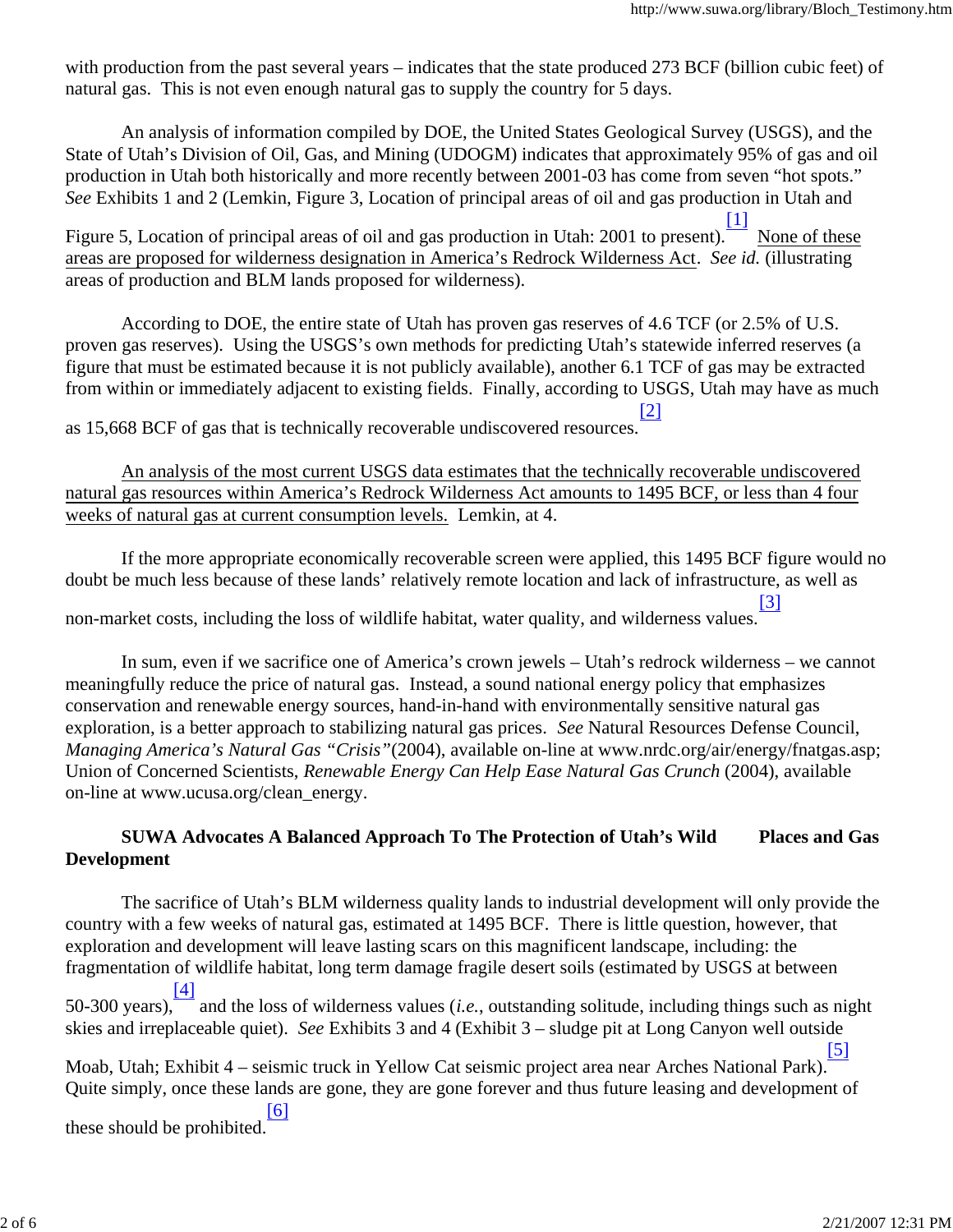with production from the past several years – indicates that the state produced 273 BCF (billion cubic feet) of natural gas. This is not even enough natural gas to supply the country for 5 days.

 An analysis of information compiled by DOE, the United States Geological Survey (USGS), and the State of Utah's Division of Oil, Gas, and Mining (UDOGM) indicates that approximately 95% of gas and oil production in Utah both historically and more recently between 2001-03 has come from seven "hot spots." *See* Exhibits 1 and 2 (Lemkin, Figure 3, Location of principal areas of oil and gas production in Utah and

Figure 5, Location of principal areas of oil and gas production in Utah: 2001 to present). [1] None of these areas are proposed for wilderness designation in America's Redrock Wilderness Act. *See id.* (illustrating areas of production and BLM lands proposed for wilderness).

 According to DOE, the entire state of Utah has proven gas reserves of 4.6 TCF (or 2.5% of U.S. proven gas reserves). Using the USGS's own methods for predicting Utah's statewide inferred reserves (a figure that must be estimated because it is not publicly available), another 6.1 TCF of gas may be extracted from within or immediately adjacent to existing fields. Finally, according to USGS, Utah may have as much [2]

as 15,668 BCF of gas that is technically recoverable undiscovered resources.

 An analysis of the most current USGS data estimates that the technically recoverable undiscovered natural gas resources within America's Redrock Wilderness Act amounts to 1495 BCF, or less than 4 four weeks of natural gas at current consumption levels. Lemkin, at 4.

 If the more appropriate economically recoverable screen were applied, this 1495 BCF figure would no doubt be much less because of these lands' relatively remote location and lack of infrastructure, as well as

non-market costs, including the loss of wildlife habitat, water quality, and wilderness values. [3]

 In sum, even if we sacrifice one of America's crown jewels – Utah's redrock wilderness – we cannot meaningfully reduce the price of natural gas. Instead, a sound national energy policy that emphasizes conservation and renewable energy sources, hand-in-hand with environmentally sensitive natural gas exploration, is a better approach to stabilizing natural gas prices. *See* Natural Resources Defense Council, *Managing America's Natural Gas "Crisis"*(2004), available on-line at www.nrdc.org/air/energy/fnatgas.asp; Union of Concerned Scientists, *Renewable Energy Can Help Ease Natural Gas Crunch* (2004), available on-line at www.ucusa.org/clean\_energy.

# **SUWA Advocates A Balanced Approach To The Protection of Utah's Wild Places and Gas Development**

 The sacrifice of Utah's BLM wilderness quality lands to industrial development will only provide the country with a few weeks of natural gas, estimated at 1495 BCF. There is little question, however, that exploration and development will leave lasting scars on this magnificent landscape, including: the fragmentation of wildlife habitat, long term damage fragile desert soils (estimated by USGS at between 50-300 years), [4] and the loss of wilderness values (*i.e.*, outstanding solitude, including things such as night skies and irreplaceable quiet). *See* Exhibits 3 and 4 (Exhibit 3 – sludge pit at Long Canyon well outside [5]

Moab, Utah; Exhibit 4 – seismic truck in Yellow Cat seismic project area near Arches National Park). Quite simply, once these lands are gone, they are gone forever and thus future leasing and development of [6]

these should be prohibited.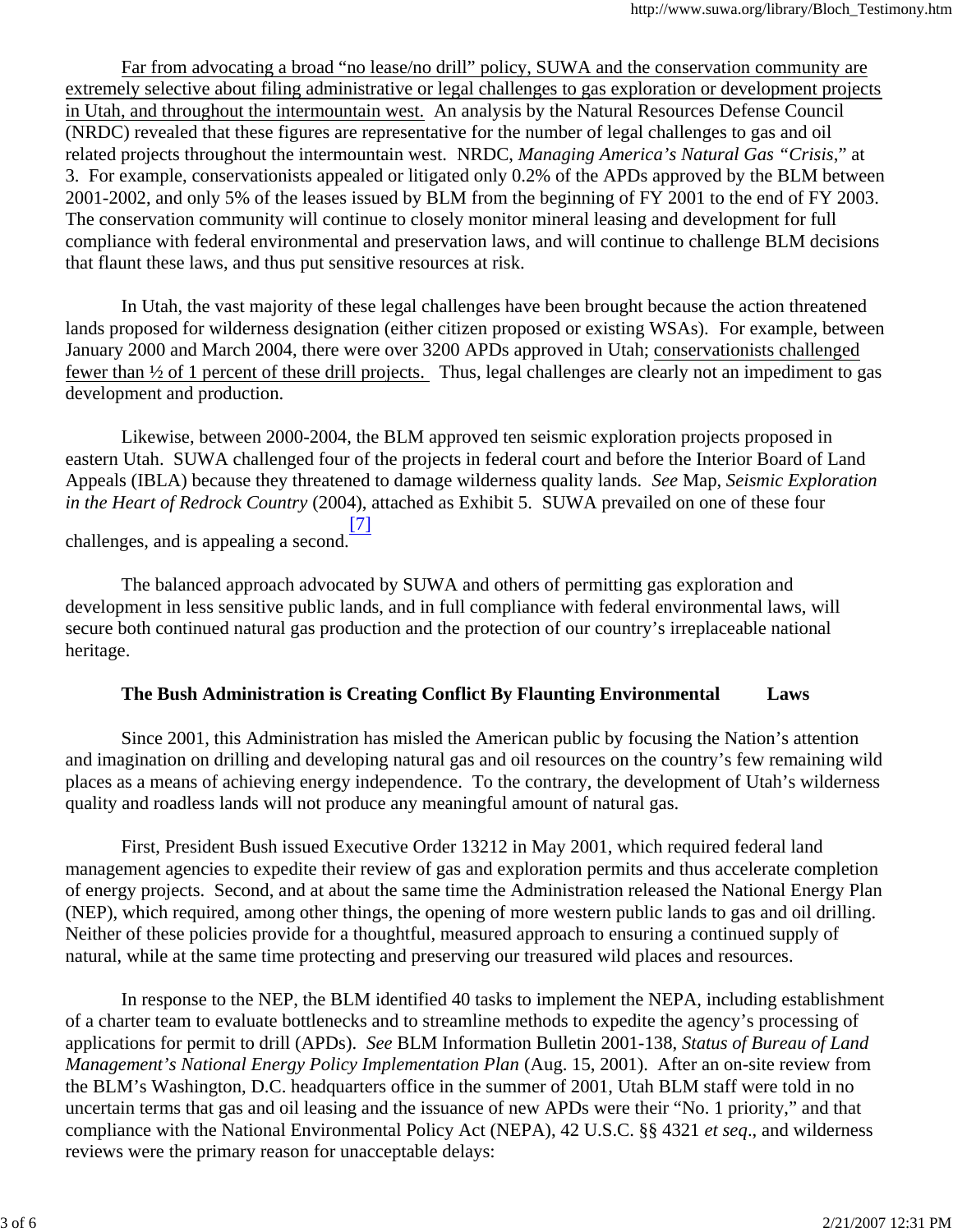Far from advocating a broad "no lease/no drill" policy, SUWA and the conservation community are extremely selective about filing administrative or legal challenges to gas exploration or development projects in Utah, and throughout the intermountain west. An analysis by the Natural Resources Defense Council (NRDC) revealed that these figures are representative for the number of legal challenges to gas and oil related projects throughout the intermountain west. NRDC, *Managing America's Natural Gas "Crisis*," at 3. For example, conservationists appealed or litigated only 0.2% of the APDs approved by the BLM between 2001-2002, and only 5% of the leases issued by BLM from the beginning of FY 2001 to the end of FY 2003. The conservation community will continue to closely monitor mineral leasing and development for full compliance with federal environmental and preservation laws, and will continue to challenge BLM decisions that flaunt these laws, and thus put sensitive resources at risk.

 In Utah, the vast majority of these legal challenges have been brought because the action threatened lands proposed for wilderness designation (either citizen proposed or existing WSAs). For example, between January 2000 and March 2004, there were over 3200 APDs approved in Utah; conservationists challenged fewer than ½ of 1 percent of these drill projects. Thus, legal challenges are clearly not an impediment to gas development and production.

 Likewise, between 2000-2004, the BLM approved ten seismic exploration projects proposed in eastern Utah. SUWA challenged four of the projects in federal court and before the Interior Board of Land Appeals (IBLA) because they threatened to damage wilderness quality lands. *See* Map, *Seismic Exploration in the Heart of Redrock Country* (2004), attached as Exhibit 5. SUWA prevailed on one of these four [7]

challenges, and is appealing a second.

 The balanced approach advocated by SUWA and others of permitting gas exploration and development in less sensitive public lands, and in full compliance with federal environmental laws, will secure both continued natural gas production and the protection of our country's irreplaceable national heritage.

## **The Bush Administration is Creating Conflict By Flaunting Environmental Laws**

Since 2001, this Administration has misled the American public by focusing the Nation's attention and imagination on drilling and developing natural gas and oil resources on the country's few remaining wild places as a means of achieving energy independence. To the contrary, the development of Utah's wilderness quality and roadless lands will not produce any meaningful amount of natural gas.

 First, President Bush issued Executive Order 13212 in May 2001, which required federal land management agencies to expedite their review of gas and exploration permits and thus accelerate completion of energy projects. Second, and at about the same time the Administration released the National Energy Plan (NEP), which required, among other things, the opening of more western public lands to gas and oil drilling. Neither of these policies provide for a thoughtful, measured approach to ensuring a continued supply of natural, while at the same time protecting and preserving our treasured wild places and resources.

 In response to the NEP, the BLM identified 40 tasks to implement the NEPA, including establishment of a charter team to evaluate bottlenecks and to streamline methods to expedite the agency's processing of applications for permit to drill (APDs). *See* BLM Information Bulletin 2001-138, *Status of Bureau of Land Management's National Energy Policy Implementation Plan* (Aug. 15, 2001). After an on-site review from the BLM's Washington, D.C. headquarters office in the summer of 2001, Utah BLM staff were told in no uncertain terms that gas and oil leasing and the issuance of new APDs were their "No. 1 priority," and that compliance with the National Environmental Policy Act (NEPA), 42 U.S.C. §§ 4321 *et seq*., and wilderness reviews were the primary reason for unacceptable delays: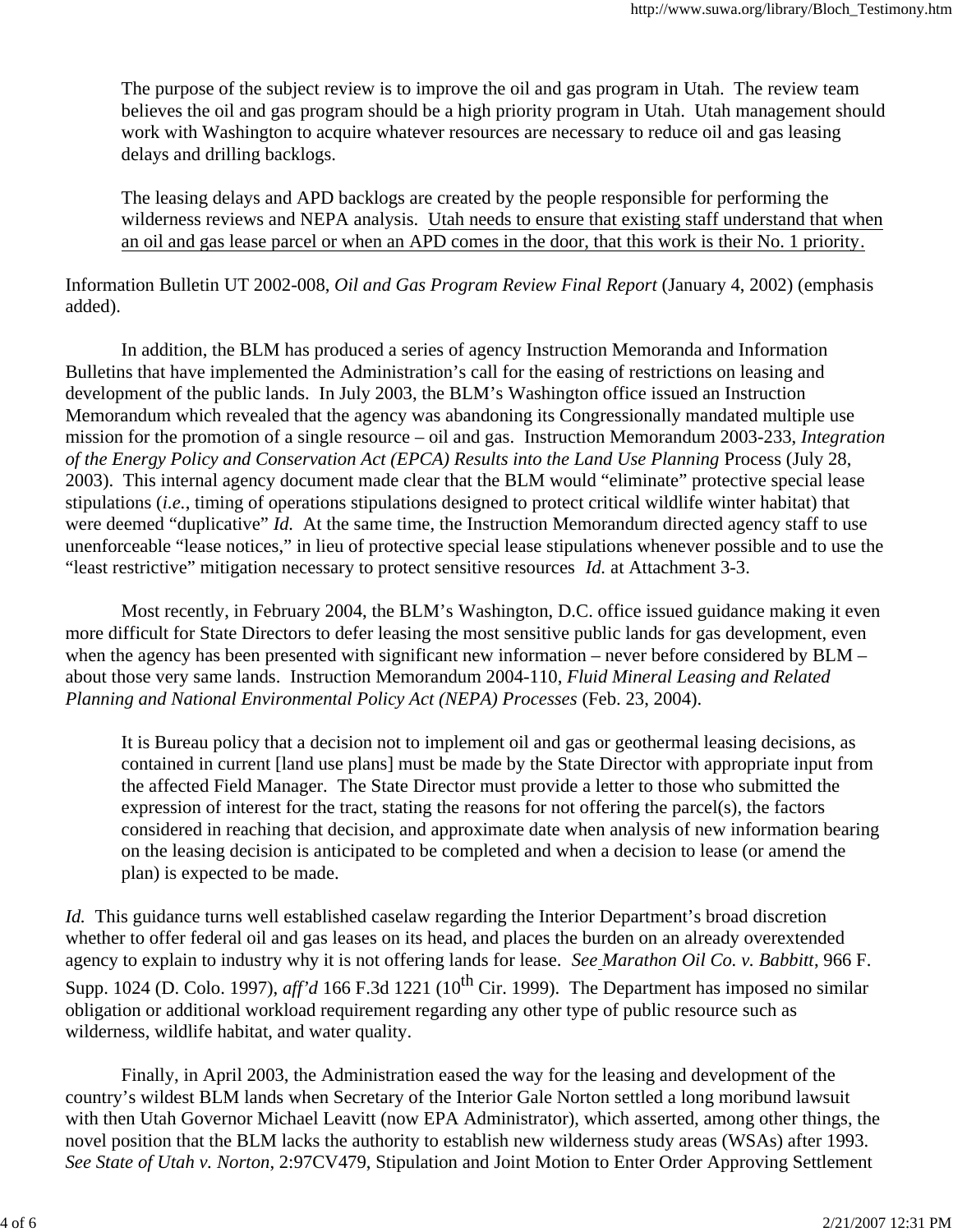The purpose of the subject review is to improve the oil and gas program in Utah. The review team believes the oil and gas program should be a high priority program in Utah. Utah management should work with Washington to acquire whatever resources are necessary to reduce oil and gas leasing delays and drilling backlogs.

 The leasing delays and APD backlogs are created by the people responsible for performing the wilderness reviews and NEPA analysis. Utah needs to ensure that existing staff understand that when an oil and gas lease parcel or when an APD comes in the door, that this work is their No. 1 priority.

Information Bulletin UT 2002-008, *Oil and Gas Program Review Final Report* (January 4, 2002) (emphasis added).

 In addition, the BLM has produced a series of agency Instruction Memoranda and Information Bulletins that have implemented the Administration's call for the easing of restrictions on leasing and development of the public lands. In July 2003, the BLM's Washington office issued an Instruction Memorandum which revealed that the agency was abandoning its Congressionally mandated multiple use mission for the promotion of a single resource – oil and gas. Instruction Memorandum 2003-233, *Integration of the Energy Policy and Conservation Act (EPCA) Results into the Land Use Planning* Process (July 28, 2003). This internal agency document made clear that the BLM would "eliminate" protective special lease stipulations (*i.e.*, timing of operations stipulations designed to protect critical wildlife winter habitat) that were deemed "duplicative" *Id.* At the same time, the Instruction Memorandum directed agency staff to use unenforceable "lease notices," in lieu of protective special lease stipulations whenever possible and to use the "least restrictive" mitigation necessary to protect sensitive resources *Id.* at Attachment 3-3.

 Most recently, in February 2004, the BLM's Washington, D.C. office issued guidance making it even more difficult for State Directors to defer leasing the most sensitive public lands for gas development, even when the agency has been presented with significant new information – never before considered by BLM – about those very same lands. Instruction Memorandum 2004-110, *Fluid Mineral Leasing and Related Planning and National Environmental Policy Act (NEPA) Processes* (Feb. 23, 2004).

 It is Bureau policy that a decision not to implement oil and gas or geothermal leasing decisions, as contained in current [land use plans] must be made by the State Director with appropriate input from the affected Field Manager. The State Director must provide a letter to those who submitted the expression of interest for the tract, stating the reasons for not offering the parcel(s), the factors considered in reaching that decision, and approximate date when analysis of new information bearing on the leasing decision is anticipated to be completed and when a decision to lease (or amend the plan) is expected to be made.

*Id.* This guidance turns well established caselaw regarding the Interior Department's broad discretion whether to offer federal oil and gas leases on its head, and places the burden on an already overextended agency to explain to industry why it is not offering lands for lease. *See Marathon Oil Co. v. Babbitt*, 966 F. Supp. 1024 (D. Colo. 1997),  $\alpha$  *ff'd* 166 F.3d 1221 (10<sup>th</sup> Cir. 1999). The Department has imposed no similar obligation or additional workload requirement regarding any other type of public resource such as wilderness, wildlife habitat, and water quality.

 Finally, in April 2003, the Administration eased the way for the leasing and development of the country's wildest BLM lands when Secretary of the Interior Gale Norton settled a long moribund lawsuit with then Utah Governor Michael Leavitt (now EPA Administrator), which asserted, among other things, the novel position that the BLM lacks the authority to establish new wilderness study areas (WSAs) after 1993. *See State of Utah v. Norton*, 2:97CV479, Stipulation and Joint Motion to Enter Order Approving Settlement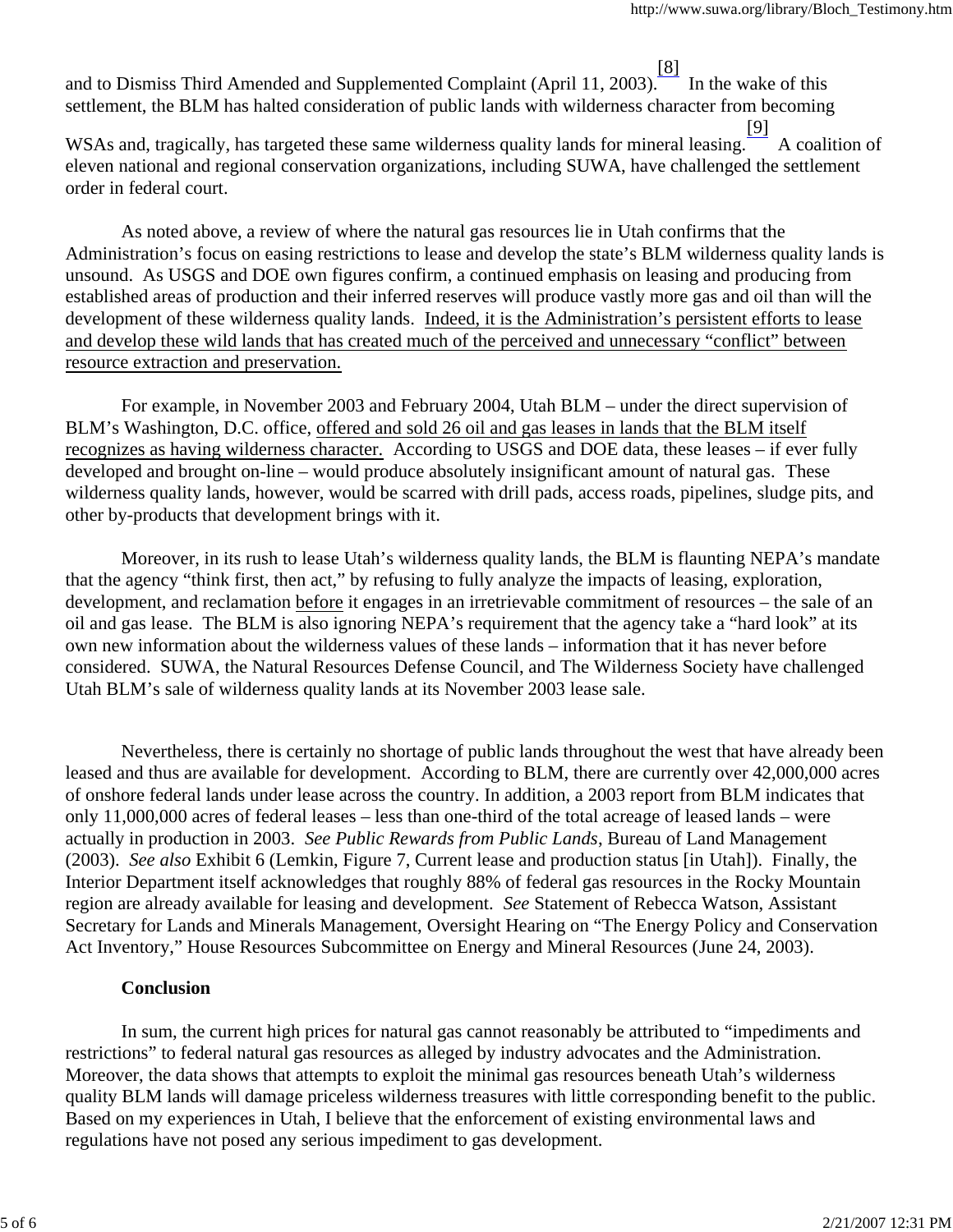and to Dismiss Third Amended and Supplemented Complaint (April 11, 2003). [8] In the wake of this settlement, the BLM has halted consideration of public lands with wilderness character from becoming

WSAs and, tragically, has targeted these same wilderness quality lands for mineral leasing. [9] A coalition of eleven national and regional conservation organizations, including SUWA, have challenged the settlement order in federal court.

 As noted above, a review of where the natural gas resources lie in Utah confirms that the Administration's focus on easing restrictions to lease and develop the state's BLM wilderness quality lands is unsound. As USGS and DOE own figures confirm, a continued emphasis on leasing and producing from established areas of production and their inferred reserves will produce vastly more gas and oil than will the development of these wilderness quality lands. Indeed, it is the Administration's persistent efforts to lease and develop these wild lands that has created much of the perceived and unnecessary "conflict" between resource extraction and preservation.

 For example, in November 2003 and February 2004, Utah BLM – under the direct supervision of BLM's Washington, D.C. office, offered and sold 26 oil and gas leases in lands that the BLM itself recognizes as having wilderness character. According to USGS and DOE data, these leases – if ever fully developed and brought on-line – would produce absolutely insignificant amount of natural gas. These wilderness quality lands, however, would be scarred with drill pads, access roads, pipelines, sludge pits, and other by-products that development brings with it.

 Moreover, in its rush to lease Utah's wilderness quality lands, the BLM is flaunting NEPA's mandate that the agency "think first, then act," by refusing to fully analyze the impacts of leasing, exploration, development, and reclamation before it engages in an irretrievable commitment of resources – the sale of an oil and gas lease. The BLM is also ignoring NEPA's requirement that the agency take a "hard look" at its own new information about the wilderness values of these lands – information that it has never before considered. SUWA, the Natural Resources Defense Council, and The Wilderness Society have challenged Utah BLM's sale of wilderness quality lands at its November 2003 lease sale.

 Nevertheless, there is certainly no shortage of public lands throughout the west that have already been leased and thus are available for development. According to BLM, there are currently over 42,000,000 acres of onshore federal lands under lease across the country. In addition, a 2003 report from BLM indicates that only 11,000,000 acres of federal leases – less than one-third of the total acreage of leased lands – were actually in production in 2003. *See Public Rewards from Public Lands*, Bureau of Land Management (2003). *See also* Exhibit 6 (Lemkin, Figure 7, Current lease and production status [in Utah]). Finally, the Interior Department itself acknowledges that roughly 88% of federal gas resources in the Rocky Mountain region are already available for leasing and development. *See* Statement of Rebecca Watson, Assistant Secretary for Lands and Minerals Management, Oversight Hearing on "The Energy Policy and Conservation Act Inventory," House Resources Subcommittee on Energy and Mineral Resources (June 24, 2003).

## **Conclusion**

 In sum, the current high prices for natural gas cannot reasonably be attributed to "impediments and restrictions" to federal natural gas resources as alleged by industry advocates and the Administration. Moreover, the data shows that attempts to exploit the minimal gas resources beneath Utah's wilderness quality BLM lands will damage priceless wilderness treasures with little corresponding benefit to the public. Based on my experiences in Utah, I believe that the enforcement of existing environmental laws and regulations have not posed any serious impediment to gas development.